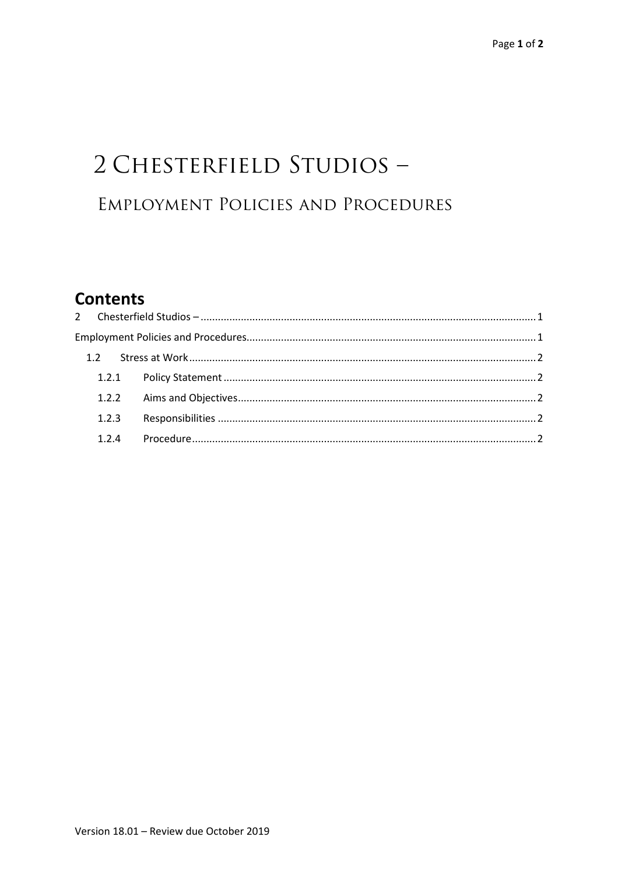# 2 CHESTERFIELD STUDIOS -EMPLOYMENT POLICIES AND PROCEDURES

# **Contents**